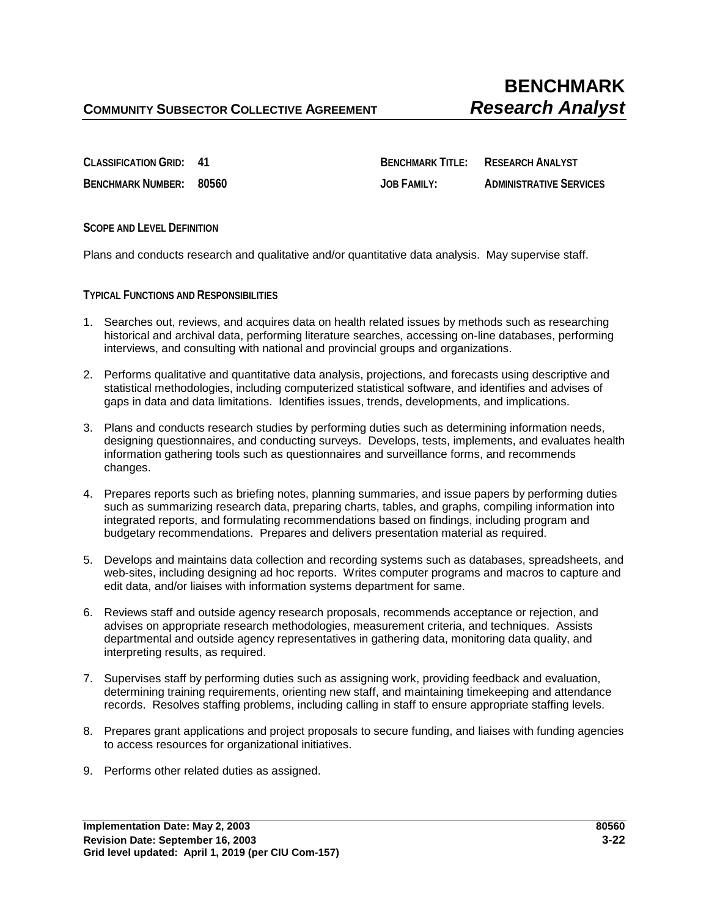**CLASSIFICATION GRID: 41 BENCHMARK TITLE: RESEARCH ANALYST BENCHMARK NUMBER: 80560 JOB FAMILY: ADMINISTRATIVE SERVICES**

**SCOPE AND LEVEL DEFINITION**

Plans and conducts research and qualitative and/or quantitative data analysis. May supervise staff.

**TYPICAL FUNCTIONS AND RESPONSIBILITIES**

- 1. Searches out, reviews, and acquires data on health related issues by methods such as researching historical and archival data, performing literature searches, accessing on-line databases, performing interviews, and consulting with national and provincial groups and organizations.
- 2. Performs qualitative and quantitative data analysis, projections, and forecasts using descriptive and statistical methodologies, including computerized statistical software, and identifies and advises of gaps in data and data limitations. Identifies issues, trends, developments, and implications.
- 3. Plans and conducts research studies by performing duties such as determining information needs, designing questionnaires, and conducting surveys. Develops, tests, implements, and evaluates health information gathering tools such as questionnaires and surveillance forms, and recommends changes.
- 4. Prepares reports such as briefing notes, planning summaries, and issue papers by performing duties such as summarizing research data, preparing charts, tables, and graphs, compiling information into integrated reports, and formulating recommendations based on findings, including program and budgetary recommendations. Prepares and delivers presentation material as required.
- 5. Develops and maintains data collection and recording systems such as databases, spreadsheets, and web-sites, including designing ad hoc reports. Writes computer programs and macros to capture and edit data, and/or liaises with information systems department for same.
- 6. Reviews staff and outside agency research proposals, recommends acceptance or rejection, and advises on appropriate research methodologies, measurement criteria, and techniques. Assists departmental and outside agency representatives in gathering data, monitoring data quality, and interpreting results, as required.
- 7. Supervises staff by performing duties such as assigning work, providing feedback and evaluation, determining training requirements, orienting new staff, and maintaining timekeeping and attendance records. Resolves staffing problems, including calling in staff to ensure appropriate staffing levels.
- 8. Prepares grant applications and project proposals to secure funding, and liaises with funding agencies to access resources for organizational initiatives.
- 9. Performs other related duties as assigned.